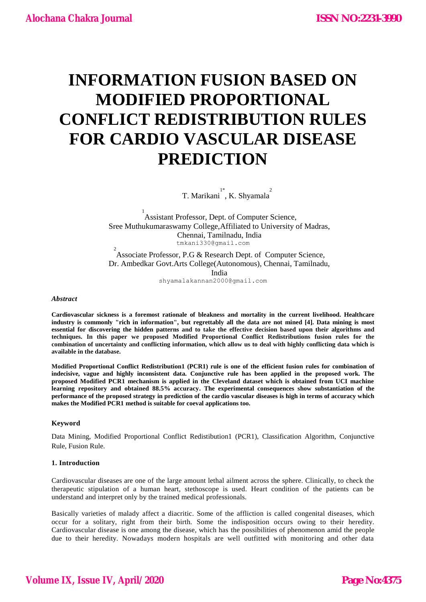# **INFORMATION FUSION BASED ON MODIFIED PROPORTIONAL CONFLICT REDISTRIBUTION RULES FOR CARDIO VASCULAR DISEASE PREDICTION**

T. Marikani<sup>1\*</sup>, K. Shyamala<sup>2</sup>

<sup>1</sup><br>Assistant Professor, Dept. of Computer Science, Sree Muthukumaraswamy College,Affiliated to University of Madras, Chennai, Tamilnadu, India tmkani330@gmail.com  $\overline{2}$ 

Associate Professor, P.G & Research Dept. of Computer Science, Dr. Ambedkar Govt.Arts College(Autonomous), Chennai, Tamilnadu, India

shyamalakannan2000@gmail.com

#### *Abstract*

**Cardiovascular sickness is a foremost rationale of bleakness and mortality in the current livelihood. Healthcare industry is commonly "rich in information", but regrettably all the data are not mined [4]. Data mining is most essential for discovering the hidden patterns and to take the effective decision based upon their algorithms and techniques. In this paper we proposed Modified Proportional Conflict Redistributions fusion rules for the combination of uncertainty and conflicting information, which allow us to deal with highly conflicting data which is available in the database.**

**Modified Proportional Conflict Redistribution1 (PCR1) rule is one of the efficient fusion rules for combination of indecisive, vague and highly inconsistent data. Conjunctive rule has been applied in the proposed work. The proposed Modified PCR1 mechanism is applied in the Cleveland dataset which is obtained from UCI machine learning repository and obtained 88.5% accuracy. The experimental consequences show substantiation of the performance of the proposed strategy in prediction of the cardio vascular diseases is high in terms of accuracy which makes the Modified PCR1 method is suitable for coeval applications too.**

# **Keyword**

Data Mining, Modified Proportional Conflict Redistibution1 (PCR1), Classification Algorithm, Conjunctive Rule, Fusion Rule.

#### **1. Introduction**

Cardiovascular diseases are one of the large amount lethal ailment across the sphere. Clinically, to check the therapeutic stipulation of a human heart, stethoscope is used. Heart condition of the patients can be understand and interpret only by the trained medical professionals.

Basically varieties of malady affect a diacritic. Some of the affliction is called congenital diseases, which occur for a solitary, right from their birth. Some the indisposition occurs owing to their heredity. Cardiovascular disease is one among the disease, which has the possibilities of phenomenon amid the people due to their heredity. Nowadays modern hospitals are well outfitted with monitoring and other data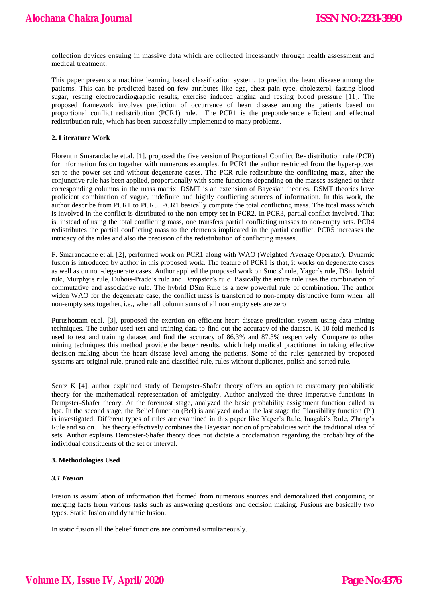collection devices ensuing in massive data which are collected incessantly through health assessment and medical treatment.

This paper presents a machine learning based classification system, to predict the heart disease among the patients. This can be predicted based on few attributes like age, chest pain type, cholesterol, fasting blood sugar, resting electrocardiographic results, exercise induced angina and resting blood pressure [11]. The proposed framework involves prediction of occurrence of heart disease among the patients based on proportional conflict redistribution (PCR1) rule. The PCR1 is the preponderance efficient and effectual redistribution rule, which has been successfully implemented to many problems.

## **2. Literature Work**

Florentin Smarandache et.al. [1], proposed the five version of Proportional Conflict Re- distribution rule (PCR) for information fusion together with numerous examples. In PCR1 the author restricted from the hyper-power set to the power set and without degenerate cases. The PCR rule redistribute the conflicting mass, after the conjunctive rule has been applied, proportionally with some functions depending on the masses assigned to their corresponding columns in the mass matrix. DSMT is an extension of Bayesian theories. DSMT theories have proficient combination of vague, indefinite and highly conflicting sources of information. In this work, the author describe from PCR1 to PCR5. PCR1 basically compute the total conflicting mass. The total mass which is involved in the conflict is distributed to the non-empty set in PCR2. In PCR3, partial conflict involved. That is, instead of using the total conflicting mass, one transfers partial conflicting masses to non-empty sets. PCR4 redistributes the partial conflicting mass to the elements implicated in the partial conflict. PCR5 increases the intricacy of the rules and also the precision of the redistribution of conflicting masses.

F. Smarandache et.al. [2], performed work on PCR1 along with WAO (Weighted Average Operator). Dynamic fusion is introduced by author in this proposed work. The feature of PCR1 is that, it works on degenerate cases as well as on non-degenerate cases. Author applied the proposed work on Smets' rule, Yager's rule, DSm hybrid rule, Murphy"s rule, Dubois-Prade"s rule and Dempster"s rule. Basically the entire rule uses the combination of commutative and associative rule. The hybrid DSm Rule is a new powerful rule of combination. The author widen WAO for the degenerate case, the conflict mass is transferred to non-empty disjunctive form when all non-empty sets together, i.e., when all column sums of all non empty sets are zero.

Purushottam et.al. [3], proposed the exertion on efficient heart disease prediction system using data mining techniques. The author used test and training data to find out the accuracy of the dataset. K-10 fold method is used to test and training dataset and find the accuracy of 86.3% and 87.3% respectively. Compare to other mining techniques this method provide the better results, which help medical practitioner in taking effective decision making about the heart disease level among the patients. Some of the rules generated by proposed systems are original rule, pruned rule and classified rule, rules without duplicates, polish and sorted rule.

Sentz K [4], author explained study of Dempster-Shafer theory offers an option to customary probabilistic theory for the mathematical representation of ambiguity. Author analyzed the three imperative functions in Dempster-Shafer theory. At the foremost stage, analyzed the basic probability assignment function called as bpa. In the second stage, the Belief function (Bel) is analyzed and at the last stage the Plausibility function (Pl) is investigated. Different types of rules are examined in this paper like Yager"s Rule, Inagaki"s Rule, Zhang"s Rule and so on. This theory effectively combines the Bayesian notion of probabilities with the traditional idea of sets. Author explains Dempster-Shafer theory does not dictate a proclamation regarding the probability of the individual constituents of the set or interval.

# **3. Methodologies Used**

#### *3.1 Fusion*

Fusion is assimilation of information that formed from numerous sources and demoralized that conjoining or merging facts from various tasks such as answering questions and decision making. Fusions are basically two types. Static fusion and dynamic fusion.

In static fusion all the belief functions are combined simultaneously.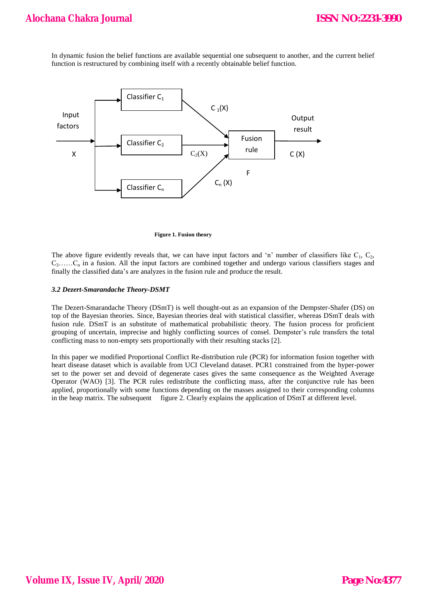In dynamic fusion the belief functions are available sequential one subsequent to another, and the current belief function is restructured by combining itself with a recently obtainable belief function.



**Figure 1. Fusion theory**

The above figure evidently reveals that, we can have input factors and 'n' number of classifiers like  $C_1$ ,  $C_2$ ,  $C_3$ ...... $C_n$  in a fusion. All the input factors are combined together and undergo various classifiers stages and finally the classified data"s are analyzes in the fusion rule and produce the result.

# *3.2 Dezert-Smarandache Theory-DSMT*

The Dezert-Smarandache Theory (DSmT) is well thought-out as an expansion of the Dempster-Shafer (DS) on top of the Bayesian theories. Since, Bayesian theories deal with statistical classifier, whereas DSmT deals with fusion rule. DSmT is an substitute of mathematical probabilistic theory. The fusion process for proficient grouping of uncertain, imprecise and highly conflicting sources of consel. Dempster"s rule transfers the total conflicting mass to non-empty sets proportionally with their resulting stacks [2].

In this paper we modified Proportional Conflict Re-distribution rule (PCR) for information fusion together with heart disease dataset which is available from UCI Cleveland dataset. PCR1 constrained from the hyper-power set to the power set and devoid of degenerate cases gives the same consequence as the Weighted Average Operator (WAO) [3]. The PCR rules redistribute the conflicting mass, after the conjunctive rule has been applied, proportionally with some functions depending on the masses assigned to their corresponding columns in the heap matrix. The subsequent figure 2. Clearly explains the application of DSmT at different level.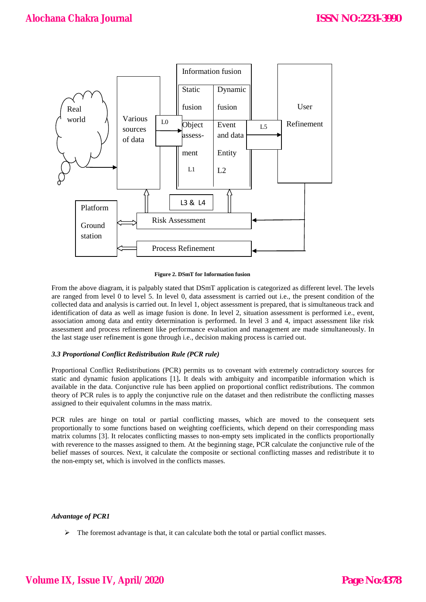

**Figure 2. DSmT for Information fusion**

From the above diagram, it is palpably stated that DSmT application is categorized as different level. The levels are ranged from level 0 to level 5. In level 0, data assessment is carried out i.e., the present condition of the collected data and analysis is carried out. In level 1, object assessment is prepared, that is simultaneous track and identification of data as well as image fusion is done. In level 2, situation assessment is performed i.e., event, association among data and entity determination is performed. In level 3 and 4, impact assessment like risk assessment and process refinement like performance evaluation and management are made simultaneously. In the last stage user refinement is gone through i.e., decision making process is carried out.

# *3.3 Proportional Conflict Redistribution Rule (PCR rule)*

Proportional Conflict Redistributions (PCR) permits us to covenant with extremely contradictory sources for static and dynamic fusion applications [1]**.** It deals with ambiguity and incompatible information which is available in the data. Conjunctive rule has been applied on proportional conflict redistributions. The common theory of PCR rules is to apply the conjunctive rule on the dataset and then redistribute the conflicting masses assigned to their equivalent columns in the mass matrix.

PCR rules are hinge on total or partial conflicting masses, which are moved to the consequent sets proportionally to some functions based on weighting coefficients, which depend on their corresponding mass matrix columns [3]. It relocates conflicting masses to non-empty sets implicated in the conflicts proportionally with reverence to the masses assigned to them. At the beginning stage, PCR calculate the conjunctive rule of the belief masses of sources. Next, it calculate the composite or sectional conflicting masses and redistribute it to the non-empty set, which is involved in the conflicts masses.

# *Advantage of PCR1*

 $\triangleright$  The foremost advantage is that, it can calculate both the total or partial conflict masses.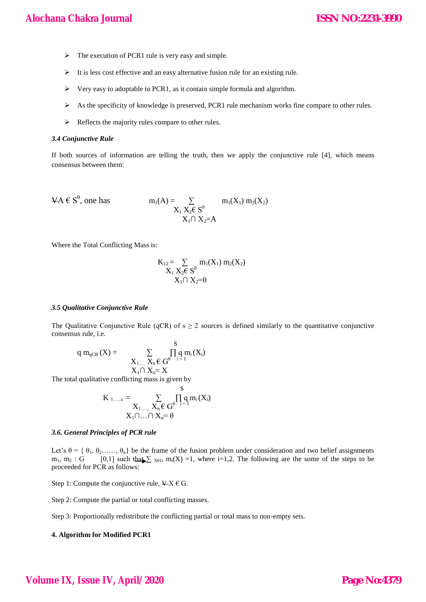- $\triangleright$  The execution of PCR1 rule is very easy and simple.
- $\triangleright$  It is less cost effective and an easy alternative fusion rule for an existing rule.
- $\triangleright$  Very easy to adoptable to PCR1, as it contain simple formula and algorithm.
- As the specificity of knowledge is preserved, PCR1 rule mechanism works fine compare to other rules.
- $\triangleright$  Reflects the majority rules compare to other rules.

#### *3.4 Conjunctive Rule*

If both sources of information are telling the truth, then we apply the conjunctive rule [4], which means consensus between them:

$$
\mathsf{VA} \in S^{\theta}, \text{ one has } \qquad \qquad m_1(A) = \sum_{\substack{X_1 X_2 \in S^{\theta} \\ X_1 \cap X_2 = A}} m_1(X_1) m_2(X_2)
$$

Where the Total Conflicting Mass is:

$$
\begin{matrix} \mathrm{K}_{12} = \sum\limits_{\mathrm{X}_1 \mathrm{X}_2 \in \mathrm{S}^0} \mathrm{m}_1(\mathrm{X}_1) \ \mathrm{m}_2(\mathrm{X}_2) \\ \mathrm{X}_1 \cap \mathrm{X}_2 = \theta \end{matrix}
$$

## *3.5 Qualitative Conjunctive Rule*

The Qualitative Conjunctive Rule (qCR) of  $s \ge 2$  sources is defined similarly to the quantitative conjunctive consensus rule, i.e.

$$
q\ m_{qCR}\left(X\right)=\qquad \sum_{\begin{array}{c}X_{1,\ldots}\ X_{n}\in\ G^{\theta}\\ X_{1}\cap\ X_{n}=X\end{array}}\frac{s}{\prod_{i=1}^{s}q\ m_{i}\left(X_{i}\right)}
$$

The total qualitative conflicting mass is given by

 s K 1…..s = ∑ ∏ q mi (Xi) X1…... Xn € Gθ i = 1 X1∩…∩ Xn= θ

#### *3.6. General Principles of PCR rule*

Let's  $\theta = \{\theta_1, \theta_2, \dots, \theta_n\}$  be the frame of the fusion problem under consideration and two belief assignments m<sub>1</sub>, m<sub>2</sub> : G [0,1] such that  $\sum_{x \in G}$  m<sub>i</sub>(X) =1, where i=1,2. The following are the some of the steps to be proceeded for PCR as follows:

Step 1: Compute the conjunctive rule,  $\angle X \in G$ .

Step 2: Compute the partial or total conflicting masses.

Step 3: Proportionally redistribute the conflicting partial or total mass to non-empty sets.

# **4. Algorithm for Modified PCR1**

# **Volume IX, Issue IV, April/2020**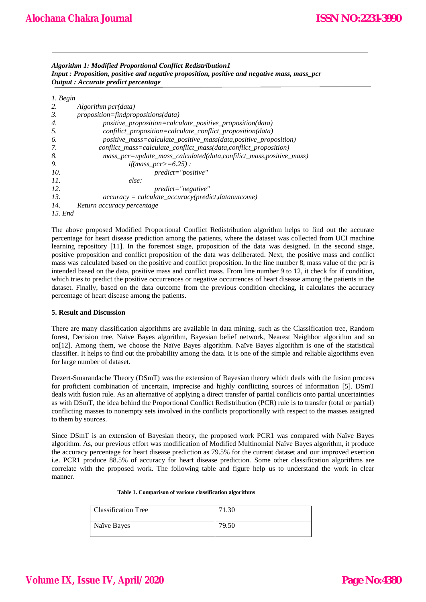*Algorithm 1: Modified Proportional Conflict Redistribution1 Input : Proposition, positive and negative proposition, positive and negative mass, mass\_pcr Output : Accurate predict percentage*

| $1.$ Begin |                                                                    |
|------------|--------------------------------------------------------------------|
| 2.         | Algorithm pcr(data)                                                |
| 3.         | $proposition = find propositions(data)$                            |
| 4.         | positive_proposition=calculate_positive_proposition(data)          |
| 5.         | confilict_proposition=calculate_conflict_proposition(data)         |
| 6.         | positive_mass=calculate_positive_mass(data,positive_proposition)   |
| 7.         | conflict_mass=calculate_conflict_mass(data,conflict_proposition)   |
| 8.         | mass_pcr=update_mass_calculated(data,confilict_mass,positive_mass) |
| 9.         | <i>if</i> ( <i>mass_pcr</i> >=6.25) :                              |
| 10.        | predict="positive"                                                 |
| 11.        | else:                                                              |
| 12.        | $predict="negative"$                                               |
| 13.        | $accuracy = calculate\_accuracy(predict, data outcome)$            |
| 14.        | Return accuracy percentage                                         |
| 15. End    |                                                                    |

The above proposed Modified Proportional Conflict Redistribution algorithm helps to find out the accurate percentage for heart disease prediction among the patients, where the dataset was collected from UCI machine learning repository [11]. In the foremost stage, proposition of the data was designed. In the second stage, positive proposition and conflict proposition of the data was deliberated. Next, the positive mass and conflict mass was calculated based on the positive and conflict proposition. In the line number 8, mass value of the pcr is intended based on the data, positive mass and conflict mass. From line number 9 to 12, it check for if condition, which tries to predict the positive occurrences or negative occurrences of heart disease among the patients in the dataset. Finally, based on the data outcome from the previous condition checking, it calculates the accuracy percentage of heart disease among the patients.

# **5. Result and Discussion**

There are many classification algorithms are available in data mining, such as the Classification tree, Random forest, Decision tree, Naïve Bayes algorithm, Bayesian belief network, Nearest Neighbor algorithm and so on[12]. Among them, we choose the Naïve Bayes algorithm. Naïve Bayes algorithm is one of the statistical classifier. It helps to find out the probability among the data. It is one of the simple and reliable algorithms even for large number of dataset.

Dezert-Smarandache Theory (DSmT) was the extension of Bayesian theory which deals with the fusion process for proficient combination of uncertain, imprecise and highly conflicting sources of information [5]. DSmT deals with fusion rule. As an alternative of applying a direct transfer of partial conflicts onto partial uncertainties as with DSmT, the idea behind the Proportional Conflict Redistribution (PCR) rule is to transfer (total or partial) conflicting masses to nonempty sets involved in the conflicts proportionally with respect to the masses assigned to them by sources.

Since DSmT is an extension of Bayesian theory, the proposed work PCR1 was compared with Naïve Bayes algorithm. As, our previous effort was modification of Modified Multinomial Naïve Bayes algorithm, it produce the accuracy percentage for heart disease prediction as 79.5% for the current dataset and our improved exertion i.e. PCR1 produce 88.5% of accuracy for heart disease prediction. Some other classification algorithms are correlate with the proposed work. The following table and figure help us to understand the work in clear manner.

#### **Table 1. Comparison of various classification algorithms**

| <b>Classification Tree</b> | 71.30 |
|----------------------------|-------|
| Naïve Bayes                | 79.50 |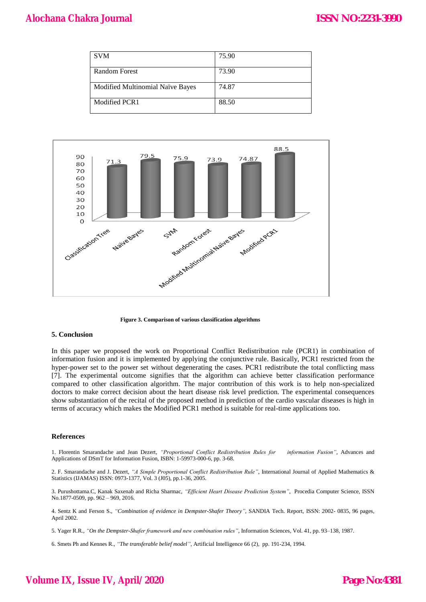| <b>SVM</b>                       | 75.90 |
|----------------------------------|-------|
| <b>Random Forest</b>             | 73.90 |
| Modified Multinomial Naïve Bayes | 74.87 |
| Modified PCR1                    | 88.50 |



 **Figure 3. Comparison of various classification algorithms**

#### **5. Conclusion**

In this paper we proposed the work on Proportional Conflict Redistribution rule (PCR1) in combination of information fusion and it is implemented by applying the conjunctive rule. Basically, PCR1 restricted from the hyper-power set to the power set without degenerating the cases. PCR1 redistribute the total conflicting mass [7]. The experimental outcome signifies that the algorithm can achieve better classification performance compared to other classification algorithm. The major contribution of this work is to help non-specialized doctors to make correct decision about the heart disease risk level prediction. The experimental consequences show substantiation of the recital of the proposed method in prediction of the cardio vascular diseases is high in terms of accuracy which makes the Modified PCR1 method is suitable for real-time applications too.

#### **References**

1. Florentin Smarandache and Jean Dezert, *"Proportional Conflict Redistribution Rules for information Fusion"*, Advances and Applications of DSmT for Information Fusion, ISBN: 1-59973-000-6, pp. 3-68.

2. F. Smarandache and J. Dezert, *"A Simple Proportional Conflict Redistribution Rule"*, International Journal of Applied Mathematics & Statistics (IJAMAS) ISSN: 0973-1377, Vol. 3 (J05), pp.1-36, 2005.

3. Purushottama.C, Kanak Saxenab and Richa Sharmac, *"Efficient Heart Disease Prediction System"*, Procedia Computer Science, ISSN No.1877-0509, pp. 962 – 969, 2016.

4. Sentz K and Ferson S., *"Combination of evidence in Dempster-Shafer Theory"*, SANDIA Tech. Report, ISSN: 2002- 0835, 96 pages, April 2002.

5. Yager R.R., *"On the Dempster-Shafer framework and new combination rules"*, Information Sciences, Vol. 41, pp. 93–138, 1987.

6. Smets Ph and Kennes R., *"The transferable belief model"*, Artificial Intelligence 66 (2), pp. 191-234, 1994.